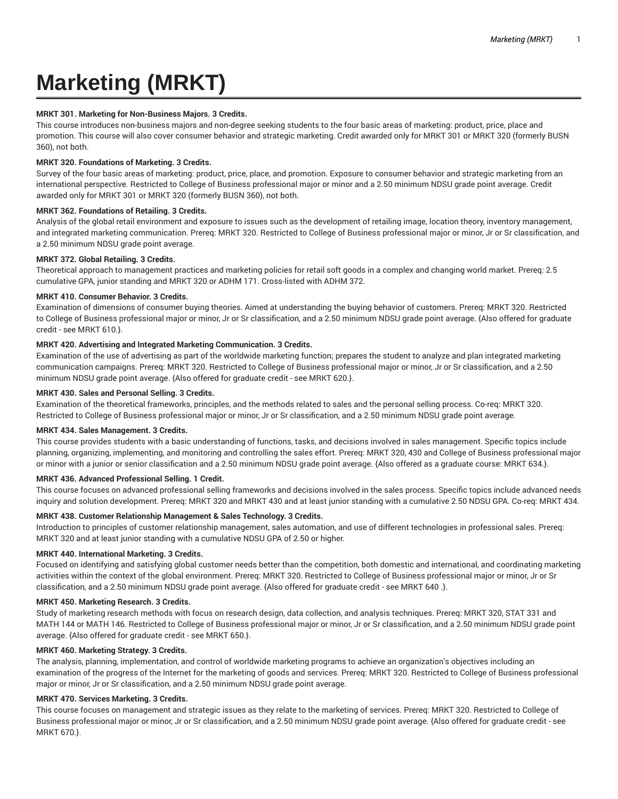# **Marketing (MRKT)**

# **MRKT 301. Marketing for Non-Business Majors. 3 Credits.**

This course introduces non-business majors and non-degree seeking students to the four basic areas of marketing: product, price, place and promotion. This course will also cover consumer behavior and strategic marketing. Credit awarded only for MRKT 301 or MRKT 320 (formerly BUSN 360), not both.

# **MRKT 320. Foundations of Marketing. 3 Credits.**

Survey of the four basic areas of marketing: product, price, place, and promotion. Exposure to consumer behavior and strategic marketing from an international perspective. Restricted to College of Business professional major or minor and a 2.50 minimum NDSU grade point average. Credit awarded only for MRKT 301 or MRKT 320 (formerly BUSN 360), not both.

## **MRKT 362. Foundations of Retailing. 3 Credits.**

Analysis of the global retail environment and exposure to issues such as the development of retailing image, location theory, inventory management, and integrated marketing communication. Prereq: MRKT 320. Restricted to College of Business professional major or minor, Jr or Sr classification, and a 2.50 minimum NDSU grade point average.

# **MRKT 372. Global Retailing. 3 Credits.**

Theoretical approach to management practices and marketing policies for retail soft goods in a complex and changing world market. Prereq: 2.5 cumulative GPA, junior standing and MRKT 320 or ADHM 171. Cross-listed with ADHM 372.

## **MRKT 410. Consumer Behavior. 3 Credits.**

Examination of dimensions of consumer buying theories. Aimed at understanding the buying behavior of customers. Prereq: MRKT 320. Restricted to College of Business professional major or minor, Jr or Sr classification, and a 2.50 minimum NDSU grade point average. {Also offered for graduate credit - see MRKT 610.}.

## **MRKT 420. Advertising and Integrated Marketing Communication. 3 Credits.**

Examination of the use of advertising as part of the worldwide marketing function; prepares the student to analyze and plan integrated marketing communication campaigns. Prereq: MRKT 320. Restricted to College of Business professional major or minor, Jr or Sr classification, and a 2.50 minimum NDSU grade point average. {Also offered for graduate credit - see MRKT 620.}.

## **MRKT 430. Sales and Personal Selling. 3 Credits.**

Examination of the theoretical frameworks, principles, and the methods related to sales and the personal selling process. Co-req: MRKT 320. Restricted to College of Business professional major or minor, Jr or Sr classification, and a 2.50 minimum NDSU grade point average.

#### **MRKT 434. Sales Management. 3 Credits.**

This course provides students with a basic understanding of functions, tasks, and decisions involved in sales management. Specific topics include planning, organizing, implementing, and monitoring and controlling the sales effort. Prereq: MRKT 320, 430 and College of Business professional major or minor with a junior or senior classification and a 2.50 minimum NDSU grade point average. {Also offered as a graduate course: MRKT 634.}.

#### **MRKT 436. Advanced Professional Selling. 1 Credit.**

This course focuses on advanced professional selling frameworks and decisions involved in the sales process. Specific topics include advanced needs inquiry and solution development. Prereq: MRKT 320 and MRKT 430 and at least junior standing with a cumulative 2.50 NDSU GPA. Co-req: MRKT 434.

## **MRKT 438. Customer Relationship Management & Sales Technology. 3 Credits.**

Introduction to principles of customer relationship management, sales automation, and use of different technologies in professional sales. Prereq: MRKT 320 and at least junior standing with a cumulative NDSU GPA of 2.50 or higher.

# **MRKT 440. International Marketing. 3 Credits.**

Focused on identifying and satisfying global customer needs better than the competition, both domestic and international, and coordinating marketing activities within the context of the global environment. Prereq: MRKT 320. Restricted to College of Business professional major or minor, Jr or Sr classification, and a 2.50 minimum NDSU grade point average. {Also offered for graduate credit - see MRKT 640 .}.

#### **MRKT 450. Marketing Research. 3 Credits.**

Study of marketing research methods with focus on research design, data collection, and analysis techniques. Prereq: MRKT 320, STAT 331 and MATH 144 or MATH 146. Restricted to College of Business professional major or minor, Jr or Sr classification, and a 2.50 minimum NDSU grade point average. {Also offered for graduate credit - see MRKT 650.}.

# **MRKT 460. Marketing Strategy. 3 Credits.**

The analysis, planning, implementation, and control of worldwide marketing programs to achieve an organization's objectives including an examination of the progress of the Internet for the marketing of goods and services. Prereq: MRKT 320. Restricted to College of Business professional major or minor, Jr or Sr classification, and a 2.50 minimum NDSU grade point average.

# **MRKT 470. Services Marketing. 3 Credits.**

This course focuses on management and strategic issues as they relate to the marketing of services. Prereq: MRKT 320. Restricted to College of Business professional major or minor, Jr or Sr classification, and a 2.50 minimum NDSU grade point average. {Also offered for graduate credit - see MRKT 670.}.